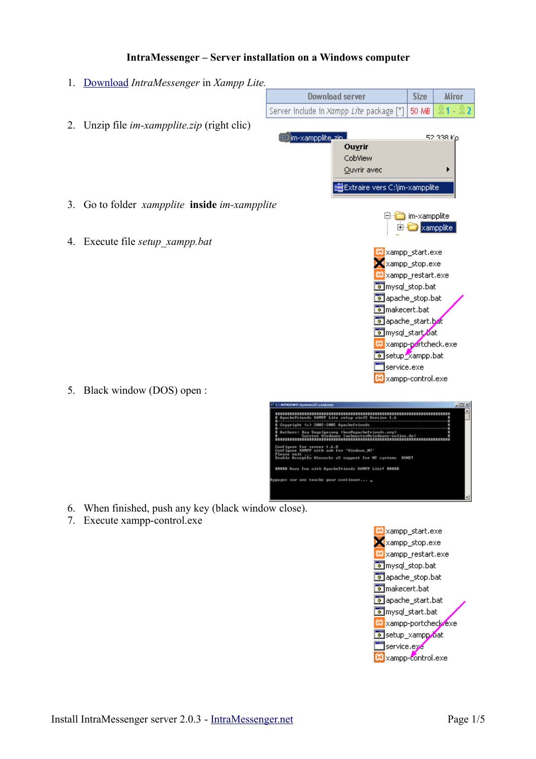#### **IntraMessenger – Server installation on a Windows computer**

- 1. [Download](http://www.intramessenger.net/download.php) *IntraMessenger* in *Xampp Lite.*
- Download server Size Miror Server include in Xampp Lite package [\*] 50 MB ≧1-≌2 2. Unzip file *im-xampplite.zip* (right clic) **Ette im-xampplite** zin 52.338 Ko Ouvrir CobView Ouvrir avec - Extraire vers C:\im-xampplite 3. Go to folder *xampplite* **inside** *im-xampplite*  □ im-xampplite  $\Box$  xampplite 4. Execute file *setup\_xampp.bat* **23** xampp\_start.exe  $\mathbf{X}$  xampp stop.exe 83 xampp\_restart.exe omysql\_stop.bat apache\_stop.bat omakecert.bat apache\_start.bat mysql\_start ot <sup>83</sup> xampp-portcheck.exe setup\_xampp.bat service.exe 83 xampp-control.exe 5. Black window (DOS) open : Light (c) 2882-2885 8 re for server 1.6.8<br>re XAMPP with auk for 'Vindo  $M_{\odot}$ eptix Winsocks v2 support for MI systems DOME! Howe fun with SpechePriends ESMPP Lite! HHIME sur use touche pour continuer... \_
- 6. When finished, push any key (black window close).
- 7. Execute xampp-control.exe

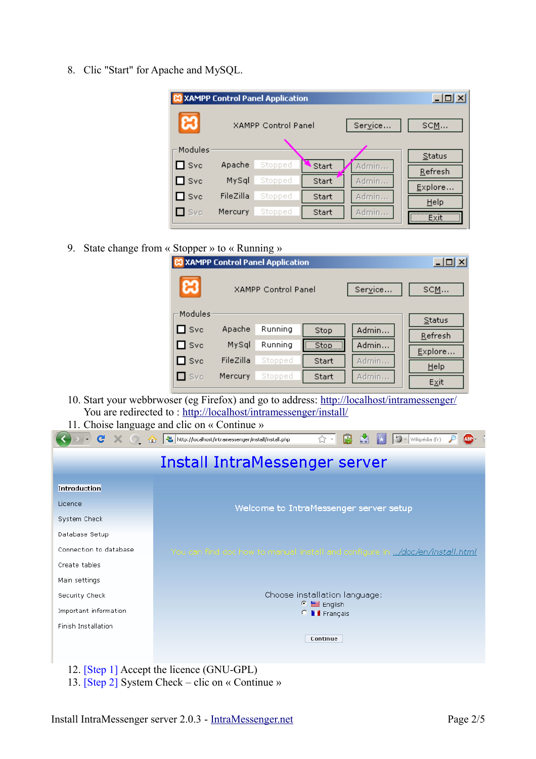8. Clic "Start" for Apache and MySQL.

|               |                            | <b>XAMPP Control Panel Application</b> |       |         | $\Box$   |
|---------------|----------------------------|----------------------------------------|-------|---------|----------|
| ස             | <b>XAMPP Control Panel</b> |                                        |       | Service | SCM      |
| Modules       |                            |                                        |       |         | Status   |
| $\square$ Svc | Apache                     | Stopped                                | Start | Admin   | Refresh  |
| $\square$ Svc | MySql                      | Stopped                                | Start | Admin   | Explore  |
| $\square$ Svc | FileZilla                  | Stopped                                | Start | Admin   | Help     |
| $\Box$ Svc    | Mercury                    | Stopped                                | Start | Admin   | <br>Exit |

9. State change from « Stopper » to « Running »

|               |                                       | <b>XAMPP Control Panel Application</b> |       |       | $ \Box$ $\times$ $\Box$ |
|---------------|---------------------------------------|----------------------------------------|-------|-------|-------------------------|
| ස             | Service<br><b>XAMPP Control Panel</b> |                                        |       | SCM   |                         |
| Modules       |                                       |                                        |       |       | Status                  |
| $\square$ Svc | Apache                                | Running                                | Stop  | Admin | Refresh                 |
| $\square$ Svc | MySql                                 | Running                                | Stop  | Admin |                         |
|               |                                       |                                        |       |       | Explore                 |
| $\square$ Svc | FileZilla                             | Stopped                                | Start | Admin | Help                    |
| $\Box$ Svc    | Mercury                               | Stopped                                | Start | Admin |                         |
|               |                                       |                                        |       |       | $E \times it$           |

- 10. Start your webbrwoser (eg Firefox) and go to address:<http://localhost/intramessenger/> You are redirected to : [http://localhost/intramessenger/install/](http://localhost/intramessenger/)
- 11. Choise language and clic on « Continue »

|                            | - C X 1 1 http://localhost/intramessenger/install/install.php<br>9<br>P<br>☆<br>Wikipédia (fr)<br>ABP <sub>1</sub> |
|----------------------------|--------------------------------------------------------------------------------------------------------------------|
|                            | Install IntraMessenger server                                                                                      |
| Introduction               |                                                                                                                    |
| Licence                    | Welcome to IntraMessenger server setup                                                                             |
| System Check               |                                                                                                                    |
| Database Setup             |                                                                                                                    |
| Connection to database     | You can find doc how to manual install and configure in /doc/en/install.html                                       |
| Create tables              |                                                                                                                    |
| Main settings              |                                                                                                                    |
| Security Check             | Choose installation language:                                                                                      |
| Important information      | $\equiv$ English<br>ø<br><b>I</b> Français<br>c.                                                                   |
| <b>Finish Installation</b> |                                                                                                                    |
|                            | Continue                                                                                                           |
|                            |                                                                                                                    |
|                            | 12. [Step 1] Accept the licence (GNU-GPL)                                                                          |

13. [Step 2] System Check – clic on « Continue »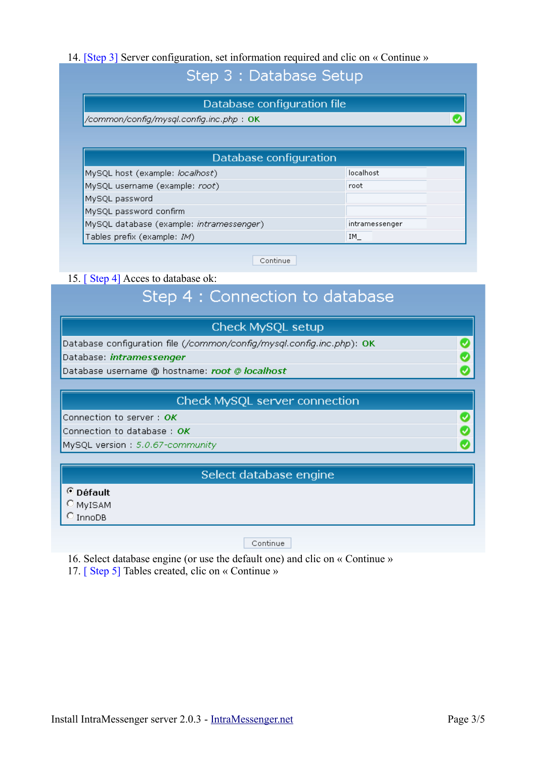#### 14. [Step 3] Server configuration, set information required and clic on « Continue »

## Step 3 : Database Setup

#### Database configuration file

/common/confiq/mysql.confiq.inc.php: OK

| Database configuration                   |                |  |  |  |  |
|------------------------------------------|----------------|--|--|--|--|
| MySQL host (example: localhost)          | localhost      |  |  |  |  |
| MySQL username (example: root)           | root           |  |  |  |  |
| MySQL password                           |                |  |  |  |  |
| MySQL password confirm                   |                |  |  |  |  |
| MySQL database (example: intramessenger) | intramessenger |  |  |  |  |
| Tables prefix (example: IM)              | IM.            |  |  |  |  |
|                                          |                |  |  |  |  |

Continue

#### 15. [ Step 4] Acces to database ok:

# Step 4 : Connection to database

| Check MySQL setup                                                     |  |
|-----------------------------------------------------------------------|--|
| Database configuration file (/common/config/mysql.config.inc.php): OK |  |
| Database: intramessenger                                              |  |
| Database username @ hostname: root @ localhost                        |  |
|                                                                       |  |

#### Check MySQL server connection

Connection to server: OK

Connection to database : OK

MySQL version: 5.0.67-community

#### Select database engine

© Défault

C MyISAM

 $O$  InnoDB

Continue

16. Select database engine (or use the default one) and clic on « Continue »

17. [ Step 5] Tables created, clic on « Continue »

 $\overline{\bullet}$ 

 $\bullet$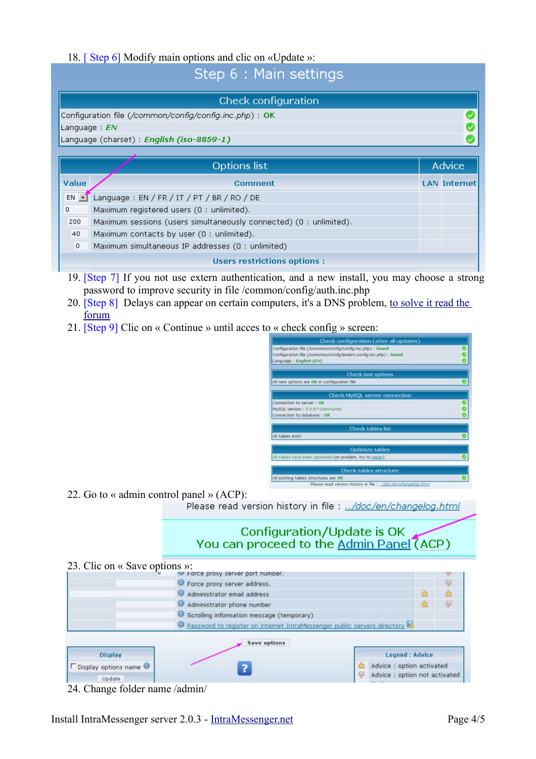#### 18. [ Step 6] Modify main options and clic on «Update »:

## Sten 6 · Main settings

|                | Check configuration                                               |  |                     |  |  |
|----------------|-------------------------------------------------------------------|--|---------------------|--|--|
|                | Configuration file (/common/config/config.inc.php) : OK<br>◡      |  |                     |  |  |
|                | Language : $EN$                                                   |  |                     |  |  |
|                | Language (charset): English (iso-8859-1)                          |  |                     |  |  |
|                |                                                                   |  |                     |  |  |
|                | <b>Options list</b>                                               |  |                     |  |  |
| Value          | <b>Comment</b>                                                    |  | <b>LAN Internet</b> |  |  |
| $EN$ $-1$      | Language: EN / FR / IT / PT / BR / RO / DE                        |  |                     |  |  |
| 0              | Maximum registered users (0 : unlimited).                         |  |                     |  |  |
| 200            | Maximum sessions (users simultaneously connected) (0: unlimited). |  |                     |  |  |
| 40             | Maximum contacts by user (0 : unlimited).                         |  |                     |  |  |
| $\overline{0}$ | Maximum simultaneous IP addresses (0 : unlimited)                 |  |                     |  |  |
|                | <b>Users restrictions options:</b>                                |  |                     |  |  |

- 19. [Step 7] If you not use extern authentication, and a new install, you may choose a strong password to improve security in file /common/config/auth.inc.php
- 20. [Step 8] Delays can appear on certain computers, it's a DNS problem, [to solve it read the](http://www.intramessenger.com/forum/viewtopic.php?t=378&) [forum](http://www.intramessenger.com/forum/viewtopic.php?t=378&)
- 21. [Step 9] Clic on « Continue » until acces to « check config » screen:

| Check configuration (after all updates)                           |   |  |
|-------------------------------------------------------------------|---|--|
| Configuration file (/common/config/config.inc.php) : found        |   |  |
| Configuration file (/common/config/extern.config.inc.php) : found |   |  |
| Language : English (EN)                                           |   |  |
| Check last options                                                |   |  |
| All new options are OK in configuration file                      |   |  |
| Check MySQL server connection                                     |   |  |
| Connection to server : OK                                         | o |  |
| MySQL version : 5.0.67-community                                  |   |  |
| Connection to database : OK                                       |   |  |
| <b>Check tables list</b>                                          |   |  |
| All tables exist                                                  |   |  |
| Optimize tables                                                   |   |  |
| All tables have been optimized (on problem, try to repair)        |   |  |
| <b>Check tables structure</b>                                     |   |  |
| All existing tables structures are OK                             |   |  |
| Please read version history in file : /doc/en/changelog.html      |   |  |

22. Go to « admin control panel » (ACP):

Please read version history in file : ../doc/en/changelog.html

### Configuration/Update is OK You can proceed to the Admin Panel (ACP)



24. Change folder name /admin/